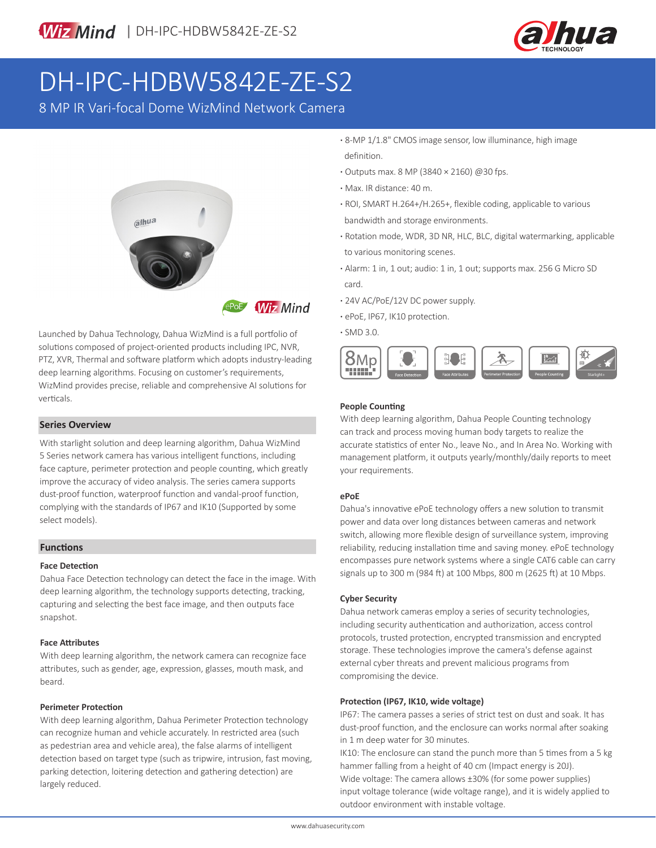

# DH-IPC-HDBW5842E-ZE-S2

8 MP IR Vari-focal Dome WizMind Network Camera



Launched by Dahua Technology, Dahua WizMind is a full portfolio of solutions composed of project-oriented products including IPC, NVR, PTZ, XVR, Thermal and software platform which adopts industry-leading deep learning algorithms. Focusing on customer's requirements, WizMind provides precise, reliable and comprehensive AI solutions for verticals.

#### **Series Overview**

With starlight solution and deep learning algorithm, Dahua WizMind 5 Series network camera has various intelligent functions, including face capture, perimeter protection and people counting, which greatly improve the accuracy of video analysis. The series camera supports dust-proof function, waterproof function and vandal-proof function, complying with the standards of IP67 and IK10 (Supported by some select models).

#### **Functions**

#### **Face Detection**

Dahua Face Detection technology can detect the face in the image. With deep learning algorithm, the technology supports detecting, tracking, capturing and selecting the best face image, and then outputs face snapshot.

#### **Face Attributes**

With deep learning algorithm, the network camera can recognize face attributes, such as gender, age, expression, glasses, mouth mask, and beard.

#### **Perimeter Protection**

With deep learning algorithm, Dahua Perimeter Protection technology can recognize human and vehicle accurately. In restricted area (such as pedestrian area and vehicle area), the false alarms of intelligent detection based on target type (such as tripwire, intrusion, fast moving, parking detection, loitering detection and gathering detection) are largely reduced.

**·** 8-MP 1/1.8" CMOS image sensor, low illuminance, high image definition.

- **·** Outputs max. 8 MP (3840 × 2160) @30 fps.
- **·** Max. IR distance: 40 m.
- **·** ROI, SMART H.264+/H.265+, flexible coding, applicable to various bandwidth and storage environments.
- **·** Rotation mode, WDR, 3D NR, HLC, BLC, digital watermarking, applicable to various monitoring scenes.
- **·** Alarm: 1 in, 1 out; audio: 1 in, 1 out; supports max. 256 G Micro SD card.
- **·** 24V AC/PoE/12V DC power supply.
- **·** ePoE, IP67, IK10 protection.
- **·** SMD 3.0.



#### **People Counting**

With deep learning algorithm, Dahua People Counting technology can track and process moving human body targets to realize the accurate statistics of enter No., leave No., and In Area No. Working with management platform, it outputs yearly/monthly/daily reports to meet your requirements.

#### **ePoE**

Dahua's innovative ePoE technology offers a new solution to transmit power and data over long distances between cameras and network switch, allowing more flexible design of surveillance system, improving reliability, reducing installation time and saving money. ePoE technology encompasses pure network systems where a single CAT6 cable can carry signals up to 300 m (984 ft) at 100 Mbps, 800 m (2625 ft) at 10 Mbps.

#### **Cyber Security**

Dahua network cameras employ a series of security technologies, including security authentication and authorization, access control protocols, trusted protection, encrypted transmission and encrypted storage. These technologies improve the camera's defense against external cyber threats and prevent malicious programs from compromising the device.

#### **Protection (IP67, IK10, wide voltage)**

IP67: The camera passes a series of strict test on dust and soak. It has dust-proof function, and the enclosure can works normal after soaking in 1 m deep water for 30 minutes.

IK10: The enclosure can stand the punch more than 5 times from a 5 kg hammer falling from a height of 40 cm (Impact energy is 20J). Wide voltage: The camera allows ±30% (for some power supplies) input voltage tolerance (wide voltage range), and it is widely applied to outdoor environment with instable voltage.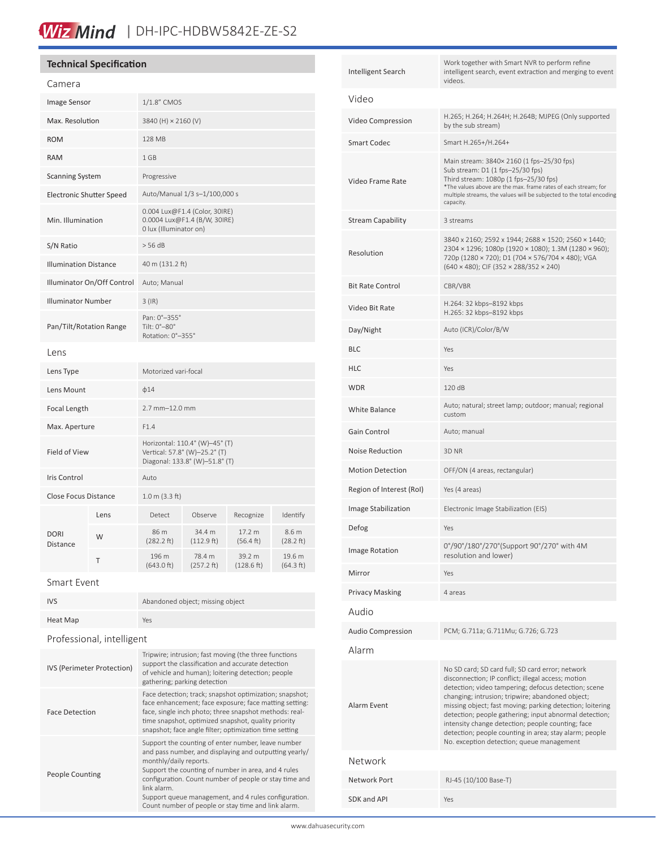### Wiz Mind | DH-IPC-HDBW5842E-ZE-S2

#### **Technical Specification** Camera Image Sensor 1/1.8" CMOS Max. Resolution 3840 (H) × 2160 (V) ROM 128 MB RAM 1 GB Scanning System Progressive Electronic Shutter Speed Auto/Manual 1/3 s–1/100,000 s Min. Illumination 0.004 Lux@F1.4 (Color, 30IRE) 0.0004 Lux@F1.4 (B/W, 30IRE) 0 lux (Illuminator on)  $S/N$  Ratio  $> 56$  dB Illumination Distance 40 m (131.2 ft) Illuminator On/Off Control Auto; Manual Illuminator Number 3 (IR) Pan/Tilt/Rotation Range Pan: 0°–355° Tilt: 0°–80° Rotation: 0°–355° Lens Lens Type Motorized vari-focal Lens Mount  $φ14$ Focal Length 2.7 mm–12.0 mm Max. Aperture F1.4 Field of View Horizontal: 110.4° (W)–45° (T) Vertical: 57.8° (W)–25.2° (T) Diagonal: 133.8° (W)–51.8° (T) Iris Control Auto Close Focus Distance 1.0 m (3.3 ft) DORI Distance Lens Detect Observe Recognize Identify  $W = \begin{bmatrix} 86 \text{ m} \\ 1282.3 \text{ m} \end{bmatrix}$ (282.2 ft) 34.4 m (112.9 ft) 17.2 m (56.4 ft) 8.6 m (28.2 ft)  $T = \frac{196 \text{ m}}{(642.0 \text{ ft})^2}$ (643.0 ft) 78.4 m (257.2 ft) 39.2 m (128.6 ft) 19.6 m (64.3 ft) Smart Event

| IVS                               | Abandoned object; missing object                                                                                                                                                                                                                                                                                                                                                      |  |  |
|-----------------------------------|---------------------------------------------------------------------------------------------------------------------------------------------------------------------------------------------------------------------------------------------------------------------------------------------------------------------------------------------------------------------------------------|--|--|
| Heat Map                          | Yes                                                                                                                                                                                                                                                                                                                                                                                   |  |  |
| Professional, intelligent         |                                                                                                                                                                                                                                                                                                                                                                                       |  |  |
| <b>IVS (Perimeter Protection)</b> | Tripwire; intrusion; fast moving (the three functions<br>support the classification and accurate detection<br>of vehicle and human); loitering detection; people<br>gathering; parking detection                                                                                                                                                                                      |  |  |
| <b>Face Detection</b>             | Face detection; track; snapshot optimization; snapshot;<br>face enhancement; face exposure; face matting setting:<br>face, single inch photo; three snapshot methods: real-<br>time snapshot, optimized snapshot, quality priority<br>snapshot; face angle filter; optimization time setting                                                                                          |  |  |
| People Counting                   | Support the counting of enter number, leave number<br>and pass number, and displaying and outputting yearly/<br>monthly/daily reports.<br>Support the counting of number in area, and 4 rules<br>configuration. Count number of people or stay time and<br>link alarm.<br>Support queue management, and 4 rules configuration.<br>Count number of people or stay time and link alarm. |  |  |

| Intelligent Search       | Work together with Smart NVR to perform refine<br>intelligent search, event extraction and merging to event<br>videos.                                                                                                                                                                                                                                                                                                                                                                                |  |  |  |
|--------------------------|-------------------------------------------------------------------------------------------------------------------------------------------------------------------------------------------------------------------------------------------------------------------------------------------------------------------------------------------------------------------------------------------------------------------------------------------------------------------------------------------------------|--|--|--|
| Video                    |                                                                                                                                                                                                                                                                                                                                                                                                                                                                                                       |  |  |  |
| Video Compression        | H.265; H.264; H.264H; H.264B; MJPEG (Only supported<br>by the sub stream)                                                                                                                                                                                                                                                                                                                                                                                                                             |  |  |  |
| Smart Codec              | Smart H.265+/H.264+                                                                                                                                                                                                                                                                                                                                                                                                                                                                                   |  |  |  |
| Video Frame Rate         | Main stream: 3840× 2160 (1 fps-25/30 fps)<br>Sub stream: D1 (1 fps-25/30 fps)<br>Third stream: 1080p (1 fps-25/30 fps)<br>*The values above are the max. frame rates of each stream; for<br>multiple streams, the values will be subjected to the total encoding<br>capacity.                                                                                                                                                                                                                         |  |  |  |
| Stream Capability        | 3 streams                                                                                                                                                                                                                                                                                                                                                                                                                                                                                             |  |  |  |
| Resolution               | 3840 x 2160; 2592 x 1944; 2688 x 1520; 2560 x 1440;<br>2304 × 1296; 1080p (1920 × 1080); 1.3M (1280 × 960);<br>720p (1280 × 720); D1 (704 × 576/704 × 480); VGA<br>$(640 \times 480)$ ; CIF $(352 \times 288/352 \times 240)$                                                                                                                                                                                                                                                                         |  |  |  |
| Bit Rate Control         | CBR/VBR                                                                                                                                                                                                                                                                                                                                                                                                                                                                                               |  |  |  |
| Video Bit Rate           | H.264: 32 kbps-8192 kbps<br>H.265: 32 kbps-8192 kbps                                                                                                                                                                                                                                                                                                                                                                                                                                                  |  |  |  |
| Day/Night                | Auto (ICR)/Color/B/W                                                                                                                                                                                                                                                                                                                                                                                                                                                                                  |  |  |  |
| BLC                      | Yes                                                                                                                                                                                                                                                                                                                                                                                                                                                                                                   |  |  |  |
| HLC                      | Yes                                                                                                                                                                                                                                                                                                                                                                                                                                                                                                   |  |  |  |
| WDR                      | 120 dB                                                                                                                                                                                                                                                                                                                                                                                                                                                                                                |  |  |  |
| White Balance            | Auto; natural; street lamp; outdoor; manual; regional<br>custom                                                                                                                                                                                                                                                                                                                                                                                                                                       |  |  |  |
| Gain Control             | Auto; manual                                                                                                                                                                                                                                                                                                                                                                                                                                                                                          |  |  |  |
| Noise Reduction          | 3D NR                                                                                                                                                                                                                                                                                                                                                                                                                                                                                                 |  |  |  |
| <b>Motion Detection</b>  | OFF/ON (4 areas, rectangular)                                                                                                                                                                                                                                                                                                                                                                                                                                                                         |  |  |  |
| Region of Interest (RoI) | Yes (4 areas)                                                                                                                                                                                                                                                                                                                                                                                                                                                                                         |  |  |  |
| Image Stabilization      | Electronic Image Stabilization (EIS)                                                                                                                                                                                                                                                                                                                                                                                                                                                                  |  |  |  |
| Defog                    | Yes                                                                                                                                                                                                                                                                                                                                                                                                                                                                                                   |  |  |  |
| <b>Image Rotation</b>    | 0°/90°/180°/270°(Support 90°/270° with 4M<br>resolution and lower)                                                                                                                                                                                                                                                                                                                                                                                                                                    |  |  |  |
| Mirror                   | Yes                                                                                                                                                                                                                                                                                                                                                                                                                                                                                                   |  |  |  |
| Privacy Masking          | 4 areas                                                                                                                                                                                                                                                                                                                                                                                                                                                                                               |  |  |  |
| Audio                    |                                                                                                                                                                                                                                                                                                                                                                                                                                                                                                       |  |  |  |
| Audio Compression        | PCM; G.711a; G.711Mu; G.726; G.723                                                                                                                                                                                                                                                                                                                                                                                                                                                                    |  |  |  |
| Alarm                    |                                                                                                                                                                                                                                                                                                                                                                                                                                                                                                       |  |  |  |
| Alarm Event              | No SD card; SD card full; SD card error; network<br>disconnection; IP conflict; illegal access; motion<br>detection; video tampering; defocus detection; scene<br>changing; intrusion; tripwire; abandoned object;<br>missing object; fast moving; parking detection; loitering<br>detection; people gathering; input abnormal detection;<br>intensity change detection; people counting; face<br>detection; people counting in area; stay alarm; people<br>No. exception detection; queue management |  |  |  |
| Network                  |                                                                                                                                                                                                                                                                                                                                                                                                                                                                                                       |  |  |  |
| Network Port             | RJ-45 (10/100 Base-T)                                                                                                                                                                                                                                                                                                                                                                                                                                                                                 |  |  |  |
| SDK and API              | Yes                                                                                                                                                                                                                                                                                                                                                                                                                                                                                                   |  |  |  |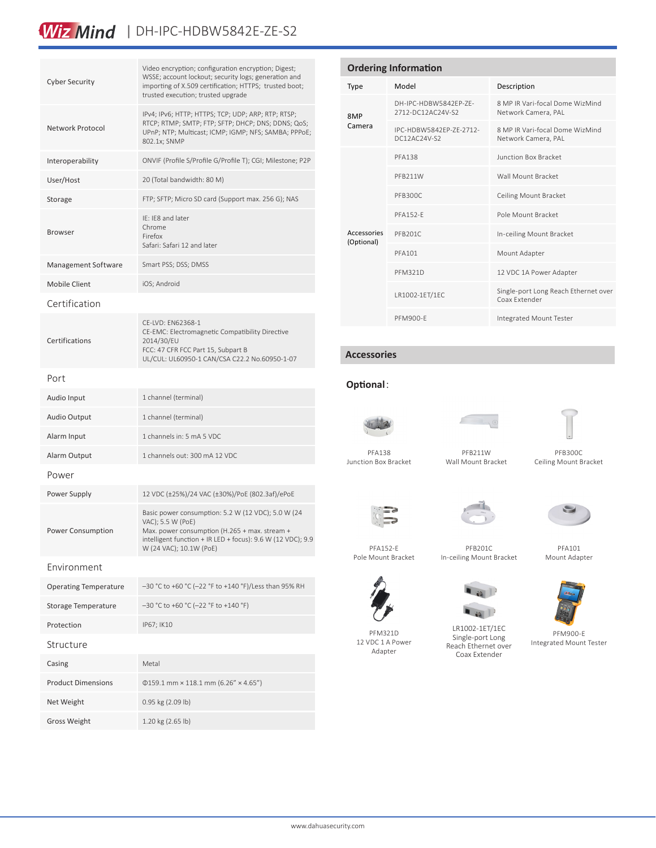### Wiz Mind | DH-IPC-HDBW5842E-ZE-S2

| <b>Cyber Security</b>        | Video encryption; configuration encryption; Digest;<br>WSSE; account lockout; security logs; generation and<br>importing of X.509 certification; HTTPS; trusted boot;<br>trusted execution; trusted upgrade                              |  |
|------------------------------|------------------------------------------------------------------------------------------------------------------------------------------------------------------------------------------------------------------------------------------|--|
| Network Protocol             | IPv4; IPv6; HTTP; HTTPS; TCP; UDP; ARP; RTP; RTSP;<br>RTCP; RTMP; SMTP; FTP; SFTP; DHCP; DNS; DDNS; QoS;<br>UPnP; NTP; Multicast; ICMP; IGMP; NFS; SAMBA; PPPoE;<br>802.1x; SNMP                                                         |  |
| Interoperability             | ONVIF (Profile S/Profile G/Profile T); CGI; Milestone; P2P                                                                                                                                                                               |  |
| User/Host                    | 20 (Total bandwidth: 80 M)                                                                                                                                                                                                               |  |
| Storage                      | FTP; SFTP; Micro SD card (Support max. 256 G); NAS                                                                                                                                                                                       |  |
| <b>Browser</b>               | IE: IE8 and later<br>Chrome<br>Firefox<br>Safari: Safari 12 and later                                                                                                                                                                    |  |
| Management Software          | Smart PSS; DSS; DMSS                                                                                                                                                                                                                     |  |
| <b>Mobile Client</b>         | iOS; Android                                                                                                                                                                                                                             |  |
| Certification                |                                                                                                                                                                                                                                          |  |
| Certifications               | CE-LVD: EN62368-1<br>CE-EMC: Electromagnetic Compatibility Directive<br>2014/30/EU<br>FCC: 47 CFR FCC Part 15, Subpart B<br>UL/CUL: UL60950-1 CAN/CSA C22.2 No.60950-1-07                                                                |  |
| Port                         |                                                                                                                                                                                                                                          |  |
| Audio Input                  | 1 channel (terminal)                                                                                                                                                                                                                     |  |
| Audio Output                 | 1 channel (terminal)                                                                                                                                                                                                                     |  |
| Alarm Input                  | 1 channels in: 5 mA 5 VDC                                                                                                                                                                                                                |  |
| Alarm Output                 | 1 channels out: 300 mA 12 VDC                                                                                                                                                                                                            |  |
| Power                        |                                                                                                                                                                                                                                          |  |
| Power Supply                 | 12 VDC (±25%)/24 VAC (±30%)/PoE (802.3af)/ePoE                                                                                                                                                                                           |  |
| Power Consumption            | Basic power consumption: 5.2 W (12 VDC); 5.0 W (24<br>VAC); 5.5 W (PoE)<br>Max. power consumption (H.265 + max. stream +<br>intelligent function + IR LED + focus): $9.6 \text{ W}$ (12 VDC); $9.9 \text{ W}$<br>W (24 VAC); 10.1W (PoE) |  |
| Environment                  |                                                                                                                                                                                                                                          |  |
| <b>Operating Temperature</b> | -30 °C to +60 °C (-22 °F to +140 °F)/Less than 95% RH                                                                                                                                                                                    |  |
| Storage Temperature          | -30 °C to +60 °C (-22 °F to +140 °F)                                                                                                                                                                                                     |  |
| Protection                   | IP67; IK10                                                                                                                                                                                                                               |  |
| Structure                    |                                                                                                                                                                                                                                          |  |
| Casing                       | Metal                                                                                                                                                                                                                                    |  |
| <b>Product Dimensions</b>    | $0159.1$ mm × 118.1 mm (6.26" × 4.65")                                                                                                                                                                                                   |  |
| Net Weight                   | 0.95 kg (2.09 lb)                                                                                                                                                                                                                        |  |
| <b>Gross Weight</b>          | 1.20 kg (2.65 lb)                                                                                                                                                                                                                        |  |

| <b>Ordering Information</b> |                                            |                                                        |  |  |
|-----------------------------|--------------------------------------------|--------------------------------------------------------|--|--|
| Type                        | Model                                      | Description                                            |  |  |
| 8MP<br>Camera               | DH-IPC-HDBW5842FP-7F-<br>2712-DC12AC24V-S2 | 8 MP IR Vari-focal Dome WizMind<br>Network Camera, PAL |  |  |
|                             | IPC-HDBW5842FP-7F-2712-<br>DC12AC24V-S2    | 8 MP IR Vari-focal Dome WizMind<br>Network Camera, PAL |  |  |
| Accessories<br>(Optional)   | <b>PFA138</b>                              | <b>Junction Box Bracket</b>                            |  |  |
|                             | PFB211W                                    | Wall Mount Bracket                                     |  |  |
|                             | PFB300C                                    | Ceiling Mount Bracket                                  |  |  |
|                             | <b>PFA152-F</b>                            | Pole Mount Bracket                                     |  |  |
|                             | PFB201C                                    | In-ceiling Mount Bracket                               |  |  |
|                             | PFA101                                     | Mount Adapter                                          |  |  |
|                             | <b>PFM321D</b>                             | 12 VDC 1A Power Adapter                                |  |  |
|                             | LR1002-1ET/1EC                             | Single-port Long Reach Ethernet over<br>Coax Extender  |  |  |
|                             | PEM900-F                                   | Integrated Mount Tester                                |  |  |

#### **Accessories**

П

### **Optional**:



PFA138 Junction Box Bracket



PFB211W Wall Mount Bracket



PFB300C Ceiling Mount Bracket

 $\epsilon$ 



Pole Mount Bracket

PFB201C In-ceiling Mount Bracket





PFM900-E Integrated Mount Tester

PFA152-E

PFM321D 12 VDC 1 A Power Adapter



Single-port Long Coax Extender

LR1002-1ET/1EC Reach Ethernet over